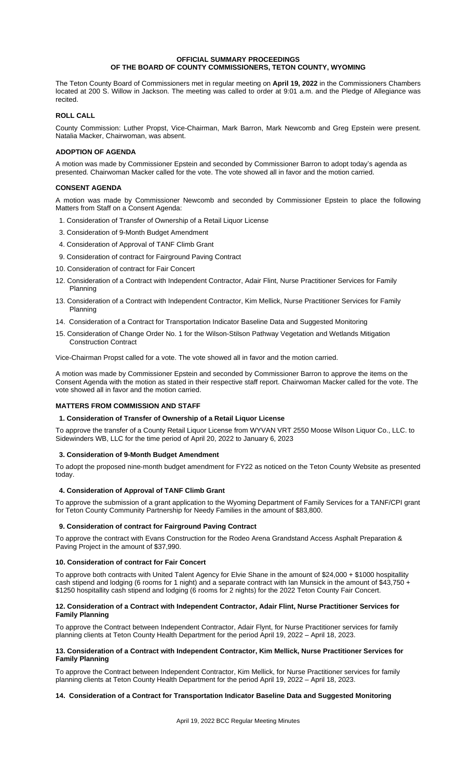### **OFFICIAL SUMMARY PROCEEDINGS OF THE BOARD OF COUNTY COMMISSIONERS, TETON COUNTY, WYOMING**

The Teton County Board of Commissioners met in regular meeting on **April 19, 2022** in the Commissioners Chambers located at 200 S. Willow in Jackson. The meeting was called to order at 9:01 a.m. and the Pledge of Allegiance was recited.

# **ROLL CALL**

County Commission: Luther Propst, Vice-Chairman, Mark Barron, Mark Newcomb and Greg Epstein were present. Natalia Macker, Chairwoman, was absent.

# **ADOPTION OF AGENDA**

A motion was made by Commissioner Epstein and seconded by Commissioner Barron to adopt today's agenda as presented. Chairwoman Macker called for the vote. The vote showed all in favor and the motion carried.

## **CONSENT AGENDA**

A motion was made by Commissioner Newcomb and seconded by Commissioner Epstein to place the following Matters from Staff on a Consent Agenda:

- 1. Consideration of Transfer of Ownership of a Retail Liquor License
- 3. Consideration of 9-Month Budget Amendment
- 4. Consideration of Approval of TANF Climb Grant
- 9. Consideration of contract for Fairground Paving Contract
- 10. Consideration of contract for Fair Concert
- 12. Consideration of a Contract with Independent Contractor, Adair Flint, Nurse Practitioner Services for Family Planning
- 13. Consideration of a Contract with Independent Contractor, Kim Mellick, Nurse Practitioner Services for Family Planning
- 14. Consideration of a Contract for Transportation Indicator Baseline Data and Suggested Monitoring
- 15. Consideration of Change Order No. 1 for the Wilson-Stilson Pathway Vegetation and Wetlands Mitigation Construction Contract

Vice-Chairman Propst called for a vote. The vote showed all in favor and the motion carried.

A motion was made by Commissioner Epstein and seconded by Commissioner Barron to approve the items on the Consent Agenda with the motion as stated in their respective staff report. Chairwoman Macker called for the vote. The vote showed all in favor and the motion carried.

# **MATTERS FROM COMMISSION AND STAFF**

### **1. Consideration of Transfer of Ownership of a Retail Liquor License**

To approve the transfer of a County Retail Liquor License from WYVAN VRT 2550 Moose Wilson Liquor Co., LLC. to Sidewinders WB, LLC for the time period of April 20, 2022 to January 6, 2023

### **3. Consideration of 9-Month Budget Amendment**

To adopt the proposed nine-month budget amendment for FY22 as noticed on the Teton County Website as presented today.

### **4. Consideration of Approval of TANF Climb Grant**

To approve the submission of a grant application to the Wyoming Department of Family Services for a TANF/CPI grant for Teton County Community Partnership for Needy Families in the amount of \$83,800.

## **9. Consideration of contract for Fairground Paving Contract**

To approve the contract with Evans Construction for the Rodeo Arena Grandstand Access Asphalt Preparation & Paving Project in the amount of \$37,990.

### **10. Consideration of contract for Fair Concert**

To approve both contracts with United Talent Agency for Elvie Shane in the amount of \$24,000 + \$1000 hospitallity cash stipend and lodging (6 rooms for 1 night) and a separate contract with Ian Munsick in the amount of \$43,750 + \$1250 hospitallity cash stipend and lodging (6 rooms for 2 nights) for the 2022 Teton County Fair Concert.

### **12. Consideration of a Contract with Independent Contractor, Adair Flint, Nurse Practitioner Services for Family Planning**

To approve the Contract between Independent Contractor, Adair Flynt, for Nurse Practitioner services for family planning clients at Teton County Health Department for the period April 19, 2022 – April 18, 2023.

### **13. Consideration of a Contract with Independent Contractor, Kim Mellick, Nurse Practitioner Services for Family Planning**

To approve the Contract between Independent Contractor, Kim Mellick, for Nurse Practitioner services for family planning clients at Teton County Health Department for the period April 19, 2022 – April 18, 2023.

# **14. Consideration of a Contract for Transportation Indicator Baseline Data and Suggested Monitoring**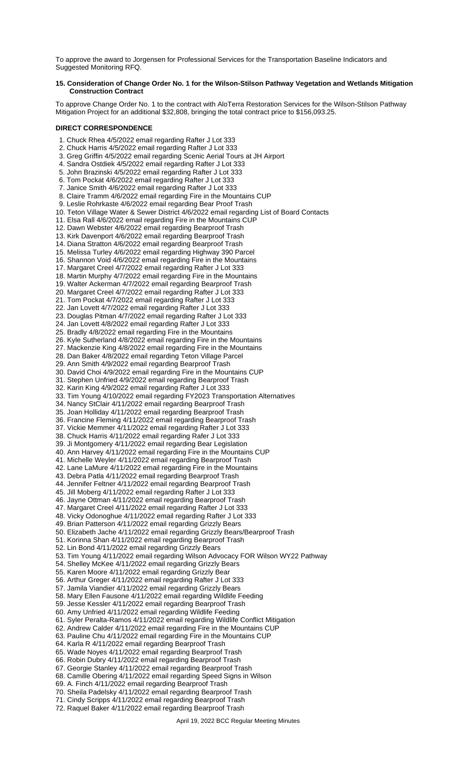To approve the award to Jorgensen for Professional Services for the Transportation Baseline Indicators and Suggested Monitoring RFQ.

## **15. Consideration of Change Order No. 1 for the Wilson-Stilson Pathway Vegetation and Wetlands Mitigation Construction Contract**

To approve Change Order No. 1 to the contract with AloTerra Restoration Services for the Wilson-Stilson Pathway Mitigation Project for an additional \$32,808, bringing the total contract price to \$156,093.25.

# **DIRECT CORRESPONDENCE**

1. Chuck Rhea 4/5/2022 email regarding Rafter J Lot 333

- 2. Chuck Harris 4/5/2022 email regarding Rafter J Lot 333
- 3. Greg Griffin 4/5/2022 email regarding Scenic Aerial Tours at JH Airport
- 4. Sandra Ostdiek 4/5/2022 email regarding Rafter J Lot 333
- 5. John Brazinski 4/5/2022 email regarding Rafter J Lot 333
- 6. Tom Pockat 4/6/2022 email regarding Rafter J Lot 333
- 7. Janice Smith 4/6/2022 email regarding Rafter J Lot 333
- 8. Claire Tramm 4/6/2022 email regarding Fire in the Mountains CUP 9. Leslie Rohrkaste 4/6/2022 email regarding Bear Proof Trash
- 10. Teton Village Water & Sewer District 4/6/2022 email regarding List of Board Contacts
- 11. Elsa Rall 4/6/2022 email regarding Fire in the Mountains CUP
- 12. Dawn Webster 4/6/2022 email regarding Bearproof Trash
- 13. Kirk Davenport 4/6/2022 email regarding Bearproof Trash
- 14. Diana Stratton 4/6/2022 email regarding Bearproof Trash
- 15. Melissa Turley 4/6/2022 email regarding Highway 390 Parcel
- 16. Shannon Void 4/6/2022 email regarding Fire in the Mountains
- 17. Margaret Creel 4/7/2022 email regarding Rafter J Lot 333
- 
- 18. Martin Murphy 4/7/2022 email regarding Fire in the Mountains
- 19. Walter Ackerman 4/7/2022 email regarding Bearproof Trash
- 20. Margaret Creel 4/7/2022 email regarding Rafter J Lot 333
- 21. Tom Pockat 4/7/2022 email regarding Rafter J Lot 333
- 22. Jan Lovett 4/7/2022 email regarding Rafter J Lot 333
- 23. Douglas Pitman 4/7/2022 email regarding Rafter J Lot 333
- 24. Jan Lovett 4/8/2022 email regarding Rafter J Lot 333
- 25. Bradly 4/8/2022 email regarding Fire in the Mountains
- 26. Kyle Sutherland 4/8/2022 email regarding Fire in the Mountains
- 27. Mackenzie King 4/8/2022 email regarding Fire in the Mountains
- 28. Dan Baker 4/8/2022 email regarding Teton Village Parcel
- 29. Ann Smith 4/9/2022 email regarding Bearproof Trash
- 30. David Choi 4/9/2022 email regarding Fire in the Mountains CUP
- 31. Stephen Unfried 4/9/2022 email regarding Bearproof Trash
- 32. Karin King 4/9/2022 email regarding Rafter J Lot 333
- 33. Tim Young 4/10/2022 email regarding FY2023 Transportation Alternatives
- 34. Nancy StClair 4/11/2022 email regarding Bearproof Trash
- 35. Joan Holliday 4/11/2022 email regarding Bearproof Trash
- 36. Francine Fleming 4/11/2022 email regarding Bearproof Trash
- 37. Vickie Memmer 4/11/2022 email regarding Rafter J Lot 333
- 38. Chuck Harris 4/11/2022 email regarding Rafer J Lot 333
- 39. Ji Montgomery 4/11/2022 email regarding Bear Legislation
- 40. Ann Harvey 4/11/2022 email regarding Fire in the Mountains CUP
- 41. Michelle Weyler 4/11/2022 email regarding Bearproof Trash
- 42. Lane LaMure 4/11/2022 email regarding Fire in the Mountains
- 43. Debra Patla 4/11/2022 email regarding Bearproof Trash
- 44. Jennifer Feltner 4/11/2022 email regarding Bearproof Trash
- 
- 45. Jill Moberg 4/11/2022 email regarding Rafter J Lot 333
- 46. Jayne Ottman 4/11/2022 email regarding Bearproof Trash
- 47. Margaret Creel 4/11/2022 email regarding Rafter J Lot 333
- 48. Vicky Odonoghue 4/11/2022 email regarding Rafter J Lot 333
- 49. Brian Patterson 4/11/2022 email regarding Grizzly Bears
- 50. Elizabeth Jache 4/11/2022 email regarding Grizzly Bears/Bearproof Trash
- 51. Korinna Shan 4/11/2022 email regarding Bearproof Trash
- 52. Lin Bond 4/11/2022 email regarding Grizzly Bears
- 53. Tim Young 4/11/2022 email regarding Wilson Advocacy FOR Wilson WY22 Pathway
- 54. Shelley McKee 4/11/2022 email regarding Grizzly Bears
- 55. Karen Moore 4/11/2022 email regarding Grizzly Bear
- 56. Arthur Greger 4/11/2022 email regarding Rafter J Lot 333
- 57. Jamila Viandier 4/11/2022 email regarding Grizzly Bears
- 58. Mary Ellen Fausone 4/11/2022 email regarding Wildlife Feeding
- 59. Jesse Kessler 4/11/2022 email regarding Bearproof Trash
- 60. Amy Unfried 4/11/2022 email regarding Wildlife Feeding
- 61. Syler Peralta-Ramos 4/11/2022 email regarding Wildlife Conflict Mitigation
- 62. Andrew Calder 4/11/2022 email regarding Fire in the Mountains CUP
- 63. Pauline Chu 4/11/2022 email regarding Fire in the Mountains CUP
- 64. Karla R 4/11/2022 email regarding Bearproof Trash
- 65. Wade Noyes 4/11/2022 email regarding Bearproof Trash
- 66. Robin Dubry 4/11/2022 email regarding Bearproof Trash
- 67. Georgie Stanley 4/11/2022 email regarding Bearproof Trash
- 68. Camille Obering 4/11/2022 email regarding Speed Signs in Wilson
- 69. A. Finch 4/11/2022 email regarding Bearproof Trash
- 70. Sheila Padelsky 4/11/2022 email regarding Bearproof Trash
- 71. Cindy Scripps 4/11/2022 email regarding Bearproof Trash
- 72. Raquel Baker 4/11/2022 email regarding Bearproof Trash

April 19, 2022 BCC Regular Meeting Minutes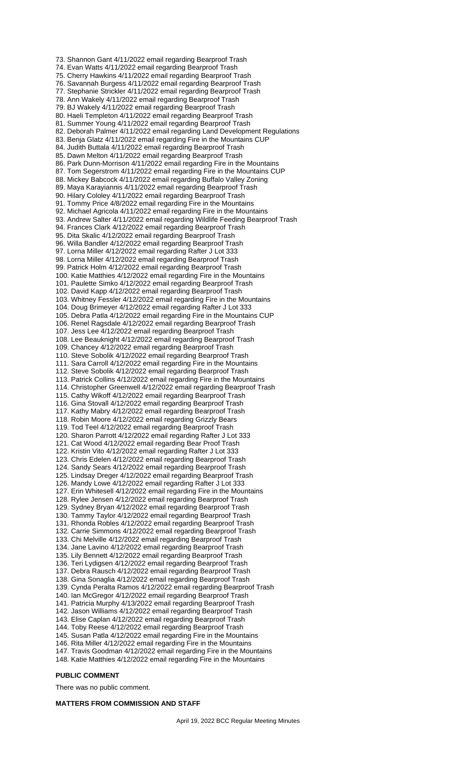73. Shannon Gant 4/11/2022 email regarding Bearproof Trash 74. Evan Watts 4/11/2022 email regarding Bearproof Trash 75. Cherry Hawkins 4/11/2022 email regarding Bearproof Trash 76. Savannah Burgess 4/11/2022 email regarding Bearproof Trash 77. Stephanie Strickler 4/11/2022 email regarding Bearproof Trash 78. Ann Wakely 4/11/2022 email regarding Bearproof Trash 79. BJ Wakely 4/11/2022 email regarding Bearproof Trash 80. Haeli Templeton 4/11/2022 email regarding Bearproof Trash 81. Summer Young 4/11/2022 email regarding Bearproof Trash 82. Deborah Palmer 4/11/2022 email regarding Land Development Regulations 83. Benja Glatz 4/11/2022 email regarding Fire in the Mountains CUP 84. Judith Buttala 4/11/2022 email regarding Bearproof Trash 85. Dawn Melton 4/11/2022 email regarding Bearproof Trash 86. Park Dunn-Morrison 4/11/2022 email regarding Fire in the Mountains 87. Tom Segerstrom 4/11/2022 email regarding Fire in the Mountains CUP 88. Mickey Babcock 4/11/2022 email regarding Buffalo Valley Zoning 89. Maya Karayiannis 4/11/2022 email regarding Bearproof Trash 90. Hilary Cololey 4/11/2022 email regarding Bearproof Trash 91. Tommy Price 4/8/2022 email regarding Fire in the Mountains 92. Michael Agricola 4/11/2022 email regarding Fire in the Mountains 93. Andrew Salter 4/11/2022 email regarding Wildlife Feeding Bearproof Trash 94. Frances Clark 4/12/2022 email regarding Bearproof Trash 95. Dita Skalic 4/12/2022 email regarding Bearproof Trash 96. Willa Bandler 4/12/2022 email regarding Bearproof Trash 97. Lorna Miller 4/12/2022 email regarding Rafter J Lot 333 98. Lorna Miller 4/12/2022 email regarding Bearproof Trash 99. Patrick Holm 4/12/2022 email regarding Bearproof Trash 100. Katie Matthies 4/12/2022 email regarding Fire in the Mountains 101. Paulette Simko 4/12/2022 email regarding Bearproof Trash 102. David Kapp 4/12/2022 email regarding Bearproof Trash 103. Whitney Fessler 4/12/2022 email regarding Fire in the Mountains 104. Doug Brimeyer 4/12/2022 email regarding Rafter J Lot 333 105. Debra Patla 4/12/2022 email regarding Fire in the Mountains CUP 106. Renel Ragsdale 4/12/2022 email regarding Bearproof Trash 107. Jess Lee 4/12/2022 email regarding Bearproof Trash 108. Lee Beauknight 4/12/2022 email regarding Bearproof Trash 109. Chancey 4/12/2022 email regarding Bearproof Trash 110. Steve Sobolik 4/12/2022 email regarding Bearproof Trash 111. Sara Carroll 4/12/2022 email regarding Fire in the Mountains 112. Steve Sobolik 4/12/2022 email regarding Bearproof Trash 113. Patrick Collins 4/12/2022 email regarding Fire in the Mountains 114. Christopher Greenwell 4/12/2022 email regarding Bearproof Trash 115. Cathy Wikoff 4/12/2022 email regarding Bearproof Trash 116. Gina Stovall 4/12/2022 email regarding Bearproof Trash 117. Kathy Mabry 4/12/2022 email regarding Bearproof Trash 118. Robin Moore 4/12/2022 email regarding Grizzly Bears 119. Tod Teel 4/12/2022 email regarding Bearproof Trash 120. Sharon Parrott 4/12/2022 email regarding Rafter J Lot 333 121. Cat Wood 4/12/2022 email regarding Bear Proof Trash 122. Kristin Vito 4/12/2022 email regarding Rafter J Lot 333 123. Chris Edelen 4/12/2022 email regarding Bearproof Trash 124. Sandy Sears 4/12/2022 email regarding Bearproof Trash 125. Lindsay Dreger 4/12/2022 email regarding Bearproof Trash 126. Mandy Lowe 4/12/2022 email regarding Rafter J Lot 333 127. Erin Whitesell 4/12/2022 email regarding Fire in the Mountains 128. Rylee Jensen 4/12/2022 email regarding Bearproof Trash 129. Sydney Bryan 4/12/2022 email regarding Bearproof Trash 130. Tammy Taylor 4/12/2022 email regarding Bearproof Trash 131. Rhonda Robles 4/12/2022 email regarding Bearproof Trash 132. Carrie Simmons 4/12/2022 email regarding Bearproof Trash 133. Chi Melville 4/12/2022 email regarding Bearproof Trash 134. Jane Lavino 4/12/2022 email regarding Bearproof Trash 135. Lily Bennett 4/12/2022 email regarding Bearproof Trash 136. Teri Lydigsen 4/12/2022 email regarding Bearproof Trash 137. Debra Rausch 4/12/2022 email regarding Bearproof Trash 138. Gina Sonaglia 4/12/2022 email regarding Bearproof Trash 139. Cynda Peralta Ramos 4/12/2022 email regarding Bearproof Trash 140. Ian McGregor 4/12/2022 email regarding Bearproof Trash 141. Patricia Murphy 4/13/2022 email regarding Bearproof Trash 142. Jason Williams 4/12/2022 email regarding Bearproof Trash 143. Elise Caplan 4/12/2022 email regarding Bearproof Trash 144. Toby Reese 4/12/2022 email regarding Bearproof Trash 145. Susan Patla 4/12/2022 email regarding Fire in the Mountains 146. Rita Miller 4/12/2022 email regarding Fire in the Mountains 147. Travis Goodman 4/12/2022 email regarding Fire in the Mountains 148. Katie Matthies 4/12/2022 email regarding Fire in the Mountains

## **PUBLIC COMMENT**

There was no public comment.

#### **MATTERS FROM COMMISSION AND STAFF**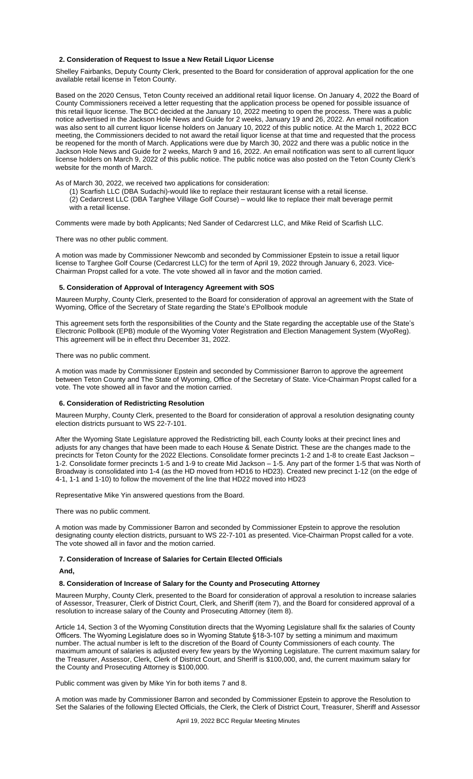### **2. Consideration of Request to Issue a New Retail Liquor License**

Shelley Fairbanks, Deputy County Clerk, presented to the Board for consideration of approval application for the one available retail license in Teton County.

Based on the 2020 Census, Teton County received an additional retail liquor license. On January 4, 2022 the Board of County Commissioners received a letter requesting that the application process be opened for possible issuance of this retail liquor license. The BCC decided at the January 10, 2022 meeting to open the process. There was a public notice advertised in the Jackson Hole News and Guide for 2 weeks, January 19 and 26, 2022. An email notification was also sent to all current liquor license holders on January 10, 2022 of this public notice. At the March 1, 2022 BCC meeting, the Commissioners decided to not award the retail liquor license at that time and requested that the process be reopened for the month of March. Applications were due by March 30, 2022 and there was a public notice in the Jackson Hole News and Guide for 2 weeks, March 9 and 16, 2022. An email notification was sent to all current liquor license holders on March 9, 2022 of this public notice. The public notice was also posted on the Teton County Clerk's website for the month of March.

As of March 30, 2022, we received two applications for consideration:

(1) Scarfish LLC (DBA Sudachi)-would like to replace their restaurant license with a retail license.

(2) Cedarcrest LLC (DBA Targhee Village Golf Course) – would like to replace their malt beverage permit with a retail license.

Comments were made by both Applicants; Ned Sander of Cedarcrest LLC, and Mike Reid of Scarfish LLC.

#### There was no other public comment.

A motion was made by Commissioner Newcomb and seconded by Commissioner Epstein to issue a retail liquor license to Targhee Golf Course (Cedarcrest LLC) for the term of April 19, 2022 through January 6, 2023. Vice-Chairman Propst called for a vote. The vote showed all in favor and the motion carried.

#### **5. Consideration of Approval of Interagency Agreement with SOS**

Maureen Murphy, County Clerk, presented to the Board for consideration of approval an agreement with the State of Wyoming, Office of the Secretary of State regarding the State's EPollbook module

This agreement sets forth the responsibilities of the County and the State regarding the acceptable use of the State's Electronic Pollbook (EPB) module of the Wyoming Voter Registration and Election Management System (WyoReg). This agreement will be in effect thru December 31, 2022.

#### There was no public comment.

A motion was made by Commissioner Epstein and seconded by Commissioner Barron to approve the agreement between Teton County and The State of Wyoming, Office of the Secretary of State. Vice-Chairman Propst called for a vote. The vote showed all in favor and the motion carried.

#### **6. Consideration of Redistricting Resolution**

Maureen Murphy, County Clerk, presented to the Board for consideration of approval a resolution designating county election districts pursuant to WS 22-7-101.

After the Wyoming State Legislature approved the Redistricting bill, each County looks at their precinct lines and adjusts for any changes that have been made to each House & Senate District. These are the changes made to the precincts for Teton County for the 2022 Elections. Consolidate former precincts 1-2 and 1-8 to create East Jackson – 1-2. Consolidate former precincts 1-5 and 1-9 to create Mid Jackson – 1-5. Any part of the former 1-5 that was North of Broadway is consolidated into 1-4 (as the HD moved from HD16 to HD23). Created new precinct 1-12 (on the edge of 4-1, 1-1 and 1-10) to follow the movement of the line that HD22 moved into HD23

Representative Mike Yin answered questions from the Board.

There was no public comment.

A motion was made by Commissioner Barron and seconded by Commissioner Epstein to approve the resolution designating county election districts, pursuant to WS 22-7-101 as presented. Vice-Chairman Propst called for a vote. The vote showed all in favor and the motion carried.

## **7. Consideration of Increase of Salaries for Certain Elected Officials**

**And,**

# **8. Consideration of Increase of Salary for the County and Prosecuting Attorney**

Maureen Murphy, County Clerk, presented to the Board for consideration of approval a resolution to increase salaries of Assessor, Treasurer, Clerk of District Court, Clerk, and Sheriff (item 7), and the Board for considered approval of a resolution to increase salary of the County and Prosecuting Attorney (item 8).

Article 14, Section 3 of the Wyoming Constitution directs that the Wyoming Legislature shall fix the salaries of County Officers. The Wyoming Legislature does so in Wyoming Statute §18-3-107 by setting a minimum and maximum number. The actual number is left to the discretion of the Board of County Commissioners of each county. The maximum amount of salaries is adjusted every few years by the Wyoming Legislature. The current maximum salary for the Treasurer, Assessor, Clerk, Clerk of District Court, and Sheriff is \$100,000, and, the current maximum salary for the County and Prosecuting Attorney is \$100,000.

Public comment was given by Mike Yin for both items 7 and 8.

A motion was made by Commissioner Barron and seconded by Commissioner Epstein to approve the Resolution to Set the Salaries of the following Elected Officials, the Clerk, the Clerk of District Court, Treasurer, Sheriff and Assessor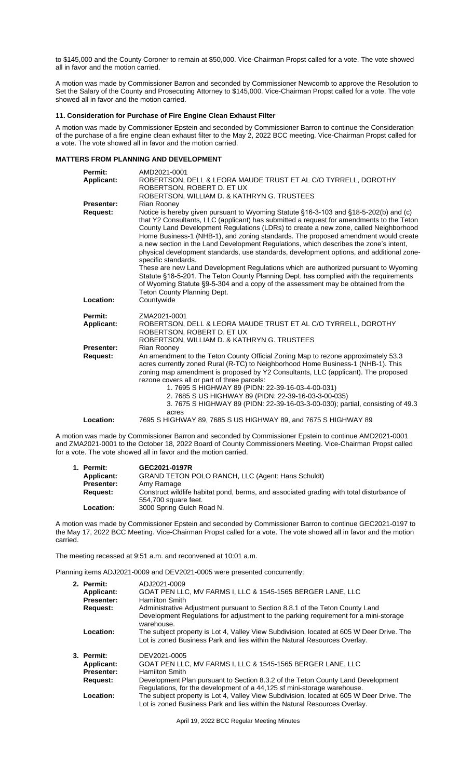to \$145,000 and the County Coroner to remain at \$50,000. Vice-Chairman Propst called for a vote. The vote showed all in favor and the motion carried.

A motion was made by Commissioner Barron and seconded by Commissioner Newcomb to approve the Resolution to Set the Salary of the County and Prosecuting Attorney to \$145,000. Vice-Chairman Propst called for a vote. The vote showed all in favor and the motion carried.

# **11. Consideration for Purchase of Fire Engine Clean Exhaust Filter**

A motion was made by Commissioner Epstein and seconded by Commissioner Barron to continue the Consideration of the purchase of a fire engine clean exhaust filter to the May 2, 2022 BCC meeting. Vice-Chairman Propst called for a vote. The vote showed all in favor and the motion carried.

# **MATTERS FROM PLANNING AND DEVELOPMENT**

| Permit:           | AMD2021-0001                                                                                                                                                                                                                                                                                                                                                                                                                                                                                                                                                                                                                                                       |
|-------------------|--------------------------------------------------------------------------------------------------------------------------------------------------------------------------------------------------------------------------------------------------------------------------------------------------------------------------------------------------------------------------------------------------------------------------------------------------------------------------------------------------------------------------------------------------------------------------------------------------------------------------------------------------------------------|
| Applicant:        | ROBERTSON, DELL & LEORA MAUDE TRUST ET AL C/O TYRRELL, DOROTHY                                                                                                                                                                                                                                                                                                                                                                                                                                                                                                                                                                                                     |
|                   | ROBERTSON, ROBERT D. ET UX                                                                                                                                                                                                                                                                                                                                                                                                                                                                                                                                                                                                                                         |
|                   | ROBERTSON, WILLIAM D. & KATHRYN G. TRUSTEES                                                                                                                                                                                                                                                                                                                                                                                                                                                                                                                                                                                                                        |
| <b>Presenter:</b> | Rian Rooney                                                                                                                                                                                                                                                                                                                                                                                                                                                                                                                                                                                                                                                        |
| <b>Request:</b>   | Notice is hereby given pursuant to Wyoming Statute §16-3-103 and §18-5-202(b) and (c)<br>that Y2 Consultants, LLC (applicant) has submitted a request for amendments to the Teton<br>County Land Development Regulations (LDRs) to create a new zone, called Neighborhood<br>Home Business-1 (NHB-1), and zoning standards. The proposed amendment would create<br>a new section in the Land Development Regulations, which describes the zone's intent,<br>physical development standards, use standards, development options, and additional zone-<br>specific standards.<br>These are new Land Development Regulations which are authorized pursuant to Wyoming |
|                   | Statute §18-5-201. The Teton County Planning Dept. has complied with the requirements<br>of Wyoming Statute §9-5-304 and a copy of the assessment may be obtained from the<br>Teton County Planning Dept.                                                                                                                                                                                                                                                                                                                                                                                                                                                          |
| Location:         | Countywide                                                                                                                                                                                                                                                                                                                                                                                                                                                                                                                                                                                                                                                         |
|                   |                                                                                                                                                                                                                                                                                                                                                                                                                                                                                                                                                                                                                                                                    |
| Permit:           | ZMA2021-0001<br>ROBERTSON, DELL & LEORA MAUDE TRUST ET AL C/O TYRRELL, DOROTHY                                                                                                                                                                                                                                                                                                                                                                                                                                                                                                                                                                                     |
| <b>Applicant:</b> | ROBERTSON, ROBERT D. ET UX                                                                                                                                                                                                                                                                                                                                                                                                                                                                                                                                                                                                                                         |
|                   | ROBERTSON, WILLIAM D. & KATHRYN G. TRUSTEES                                                                                                                                                                                                                                                                                                                                                                                                                                                                                                                                                                                                                        |
| <b>Presenter:</b> | Rian Rooney                                                                                                                                                                                                                                                                                                                                                                                                                                                                                                                                                                                                                                                        |
| <b>Request:</b>   | An amendment to the Teton County Official Zoning Map to rezone approximately 53.3<br>acres currently zoned Rural (R-TC) to Neighborhood Home Business-1 (NHB-1). This<br>zoning map amendment is proposed by Y2 Consultants, LLC (applicant). The proposed<br>rezone covers all or part of three parcels:<br>1.7695 S HIGHWAY 89 (PIDN: 22-39-16-03-4-00-031)<br>2.7685 S US HIGHWAY 89 (PIDN: 22-39-16-03-3-00-035)<br>3. 7675 S HIGHWAY 89 (PIDN: 22-39-16-03-3-00-030); partial, consisting of 49.3                                                                                                                                                             |
|                   | acres                                                                                                                                                                                                                                                                                                                                                                                                                                                                                                                                                                                                                                                              |
| Location:         | 7695 S HIGHWAY 89, 7685 S US HIGHWAY 89, and 7675 S HIGHWAY 89                                                                                                                                                                                                                                                                                                                                                                                                                                                                                                                                                                                                     |
|                   | was made by Commissioner Barron and seconded by Commissioner Enstein to continue AMD2021-0001                                                                                                                                                                                                                                                                                                                                                                                                                                                                                                                                                                      |

A motion was made by Commissioner Barron and seconded by Commissioner Epstein to continue AMD2021-0001 and ZMA2021-0001 to the October 18, 2022 Board of County Commissioners Meeting. Vice-Chairman Propst called for a vote. The vote showed all in favor and the motion carried.

| 1. Permit:        | GEC2021-0197R                                                                            |
|-------------------|------------------------------------------------------------------------------------------|
| Applicant:        | <b>GRAND TETON POLO RANCH, LLC (Agent: Hans Schuldt)</b>                                 |
| <b>Presenter:</b> | Amy Ramage                                                                               |
| Reauest:          | Construct wildlife habitat pond, berms, and associated grading with total disturbance of |
|                   | 554,700 square feet.                                                                     |
| Location:         | 3000 Spring Gulch Road N.                                                                |

A motion was made by Commissioner Epstein and seconded by Commissioner Barron to continue GEC2021-0197 to the May 17, 2022 BCC Meeting. Vice-Chairman Propst called for a vote. The vote showed all in favor and the motion carried.

The meeting recessed at 9:51 a.m. and reconvened at 10:01 a.m.

Planning items ADJ2021-0009 and DEV2021-0005 were presented concurrently:

| 2. Permit:        | ADJ2021-0009                                                                                       |
|-------------------|----------------------------------------------------------------------------------------------------|
| <b>Applicant:</b> | GOAT PEN LLC, MV FARMS I, LLC & 1545-1565 BERGER LANE, LLC                                         |
| <b>Presenter:</b> | <b>Hamilton Smith</b>                                                                              |
| <b>Request:</b>   | Administrative Adjustment pursuant to Section 8.8.1 of the Teton County Land                       |
|                   | Development Regulations for adjustment to the parking requirement for a mini-storage<br>warehouse. |
| Location:         | The subject property is Lot 4, Valley View Subdivision, located at 605 W Deer Drive. The           |
|                   | Lot is zoned Business Park and lies within the Natural Resources Overlay.                          |
| 3. Permit:        | DEV2021-0005                                                                                       |
| <b>Applicant:</b> | GOAT PEN LLC, MV FARMS I, LLC & 1545-1565 BERGER LANE, LLC                                         |
| <b>Presenter:</b> | <b>Hamilton Smith</b>                                                                              |
| <b>Request:</b>   | Development Plan pursuant to Section 8.3.2 of the Teton County Land Development                    |
|                   | Regulations, for the development of a 44,125 sf mini-storage warehouse.                            |
| <b>Location:</b>  | The subject property is Lot 4, Valley View Subdivision, located at 605 W Deer Drive. The           |
|                   | Lot is zoned Business Park and lies within the Natural Resources Overlay.                          |

April 19, 2022 BCC Regular Meeting Minutes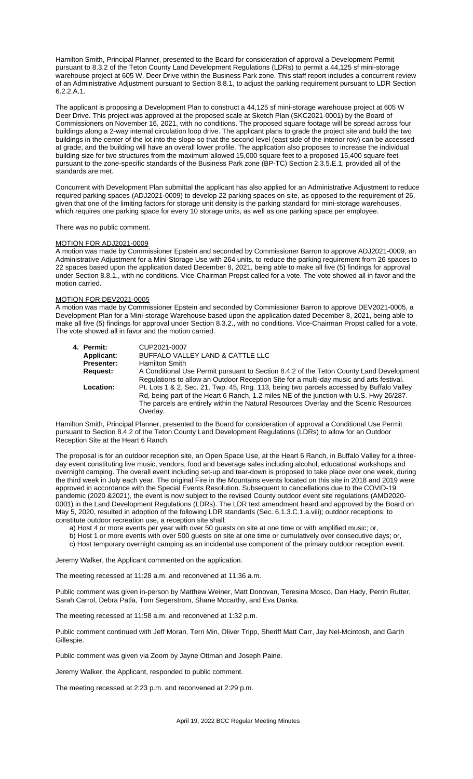Hamilton Smith, Principal Planner, presented to the Board for consideration of approval a Development Permit pursuant to 8.3.2 of the Teton County Land Development Regulations (LDRs) to permit a 44,125 sf mini-storage warehouse project at 605 W. Deer Drive within the Business Park zone. This staff report includes a concurrent review of an Administrative Adjustment pursuant to Section 8.8.1, to adjust the parking requirement pursuant to LDR Section 6.2.2.A.1.

The applicant is proposing a Development Plan to construct a 44,125 sf mini-storage warehouse project at 605 W Deer Drive. This project was approved at the proposed scale at Sketch Plan (SKC2021-0001) by the Board of Commissioners on November 16, 2021, with no conditions. The proposed square footage will be spread across four buildings along a 2-way internal circulation loop drive. The applicant plans to grade the project site and build the two buildings in the center of the lot into the slope so that the second level (east side of the interior row) can be accessed at grade, and the building will have an overall lower profile. The application also proposes to increase the individual building size for two structures from the maximum allowed 15,000 square feet to a proposed 15,400 square feet pursuant to the zone-specific standards of the Business Park zone (BP-TC) Section 2.3.5.E.1, provided all of the standards are met.

Concurrent with Development Plan submittal the applicant has also applied for an Administrative Adjustment to reduce required parking spaces (ADJ2021-0009) to develop 22 parking spaces on site, as opposed to the requirement of 26, given that one of the limiting factors for storage unit density is the parking standard for mini-storage warehouses, which requires one parking space for every 10 storage units, as well as one parking space per employee.

### There was no public comment.

## MOTION FOR ADJ2021-0009

A motion was made by Commissioner Epstein and seconded by Commissioner Barron to approve ADJ2021-0009, an Administrative Adjustment for a Mini-Storage Use with 264 units, to reduce the parking requirement from 26 spaces to 22 spaces based upon the application dated December 8, 2021, being able to make all five (5) findings for approval under Section 8.8.1., with no conditions. Vice-Chairman Propst called for a vote. The vote showed all in favor and the motion carried.

## MOTION FOR DEV2021-0005

A motion was made by Commissioner Epstein and seconded by Commissioner Barron to approve DEV2021-0005, a Development Plan for a Mini-storage Warehouse based upon the application dated December 8, 2021, being able to make all five (5) findings for approval under Section 8.3.2., with no conditions. Vice-Chairman Propst called for a vote. The vote showed all in favor and the motion carried.

| 4. Permit:        | CUP2021-0007                                                                             |
|-------------------|------------------------------------------------------------------------------------------|
| Applicant:        | BUFFALO VALLEY LAND & CATTLE LLC                                                         |
| <b>Presenter:</b> | <b>Hamilton Smith</b>                                                                    |
| Request:          | A Conditional Use Permit pursuant to Section 8.4.2 of the Teton County Land Development  |
|                   | Regulations to allow an Outdoor Reception Site for a multi-day music and arts festival.  |
| Location:         | Pt. Lots 1 & 2, Sec. 21, Twp. 45, Rng. 113, being two parcels accessed by Buffalo Valley |
|                   | Rd, being part of the Heart 6 Ranch, 1.2 miles NE of the junction with U.S. Hwy 26/287.  |
|                   | The parcels are entirely within the Natural Resources Overlay and the Scenic Resources   |
|                   | Overlav.                                                                                 |
|                   |                                                                                          |

Hamilton Smith, Principal Planner, presented to the Board for consideration of approval a Conditional Use Permit pursuant to Section 8.4.2 of the Teton County Land Development Regulations (LDRs) to allow for an Outdoor Reception Site at the Heart 6 Ranch.

The proposal is for an outdoor reception site, an Open Space Use, at the Heart 6 Ranch, in Buffalo Valley for a threeday event constituting live music, vendors, food and beverage sales including alcohol, educational workshops and overnight camping. The overall event including set-up and tear-down is proposed to take place over one week, during the third week in July each year. The original Fire in the Mountains events located on this site in 2018 and 2019 were approved in accordance with the Special Events Resolution. Subsequent to cancellations due to the COVID-19 pandemic (2020 &2021), the event is now subject to the revised County outdoor event site regulations (AMD2020- 0001) in the Land Development Regulations (LDRs). The LDR text amendment heard and approved by the Board on May 5, 2020, resulted in adoption of the following LDR standards (Sec. 6.1.3.C.1.a.viii); outdoor receptions: to constitute outdoor recreation use, a reception site shall:

a) Host 4 or more events per year with over 50 guests on site at one time or with amplified music; or,

b) Host 1 or more events with over 500 guests on site at one time or cumulatively over consecutive days; or,

c) Host temporary overnight camping as an incidental use component of the primary outdoor reception event.

Jeremy Walker, the Applicant commented on the application.

The meeting recessed at 11:28 a.m. and reconvened at 11:36 a.m.

Public comment was given in-person by Matthew Weiner, Matt Donovan, Teresina Mosco, Dan Hady, Perrin Rutter, Sarah Carrol, Debra Patla, Tom Segerstrom, Shane Mccarthy, and Eva Danka.

The meeting recessed at 11:58 a.m. and reconvened at 1:32 p.m.

Public comment continued with Jeff Moran, Terri Min, Oliver Tripp, Sheriff Matt Carr, Jay Nel-Mcintosh, and Garth Gillespie.

Public comment was given via Zoom by Jayne Ottman and Joseph Paine.

Jeremy Walker, the Applicant, responded to public comment.

The meeting recessed at 2:23 p.m. and reconvened at 2:29 p.m.